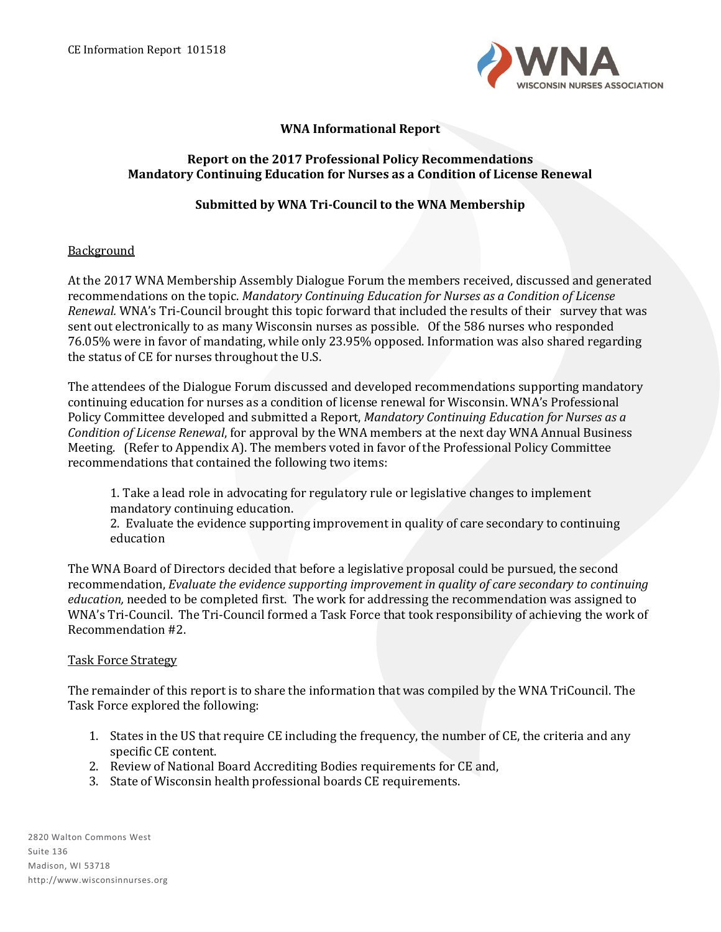

# **WNA Informational Report**

## **Report on the 2017 Professional Policy Recommendations Mandatory Continuing Education for Nurses as a Condition of License Renewal**

### **Submitted by WNA Tri-Council to the WNA Membership**

### **Background**

At the 2017 WNA Membership Assembly Dialogue Forum the members received, discussed and generated recommendations on the topic. *Mandatory Continuing Education for Nurses as a Condition of License Renewal.* WNA's Tri-Council brought this topic forward that included the results of their survey that was sent out electronically to as many Wisconsin nurses as possible. Of the 586 nurses who responded 76.05% were in favor of mandating, while only 23.95% opposed. Information was also shared regarding the status of CE for nurses throughout the U.S.

The attendees of the Dialogue Forum discussed and developed recommendations supporting mandatory continuing education for nurses as a condition of license renewal for Wisconsin. WNA's Professional Policy Committee developed and submitted a Report, *Mandatory Continuing Education for Nurses as a Condition of License Renewal*, for approval by the WNA members at the next day WNA Annual Business Meeting. (Refer to Appendix A). The members voted in favor of the Professional Policy Committee recommendations that contained the following two items:

1. Take a lead role in advocating for regulatory rule or legislative changes to implement mandatory continuing education.

2. Evaluate the evidence supporting improvement in quality of care secondary to continuing education

The WNA Board of Directors decided that before a legislative proposal could be pursued, the second recommendation, *Evaluate the evidence supporting improvement in quality of care secondary to continuing education,* needed to be completed first. The work for addressing the recommendation was assigned to WNA's Tri-Council. The Tri-Council formed a Task Force that took responsibility of achieving the work of Recommendation #2.

#### Task Force Strategy

The remainder of this report is to share the information that was compiled by the WNA TriCouncil. The Task Force explored the following:

- 1. States in the US that require CE including the frequency, the number of CE, the criteria and any specific CE content.
- 2. Review of National Board Accrediting Bodies requirements for CE and,
- 3. State of Wisconsin health professional boards CE requirements.

2820 Walton Commons West Suite 136 Madison, WI 53718 http://www.wisconsinnurses.org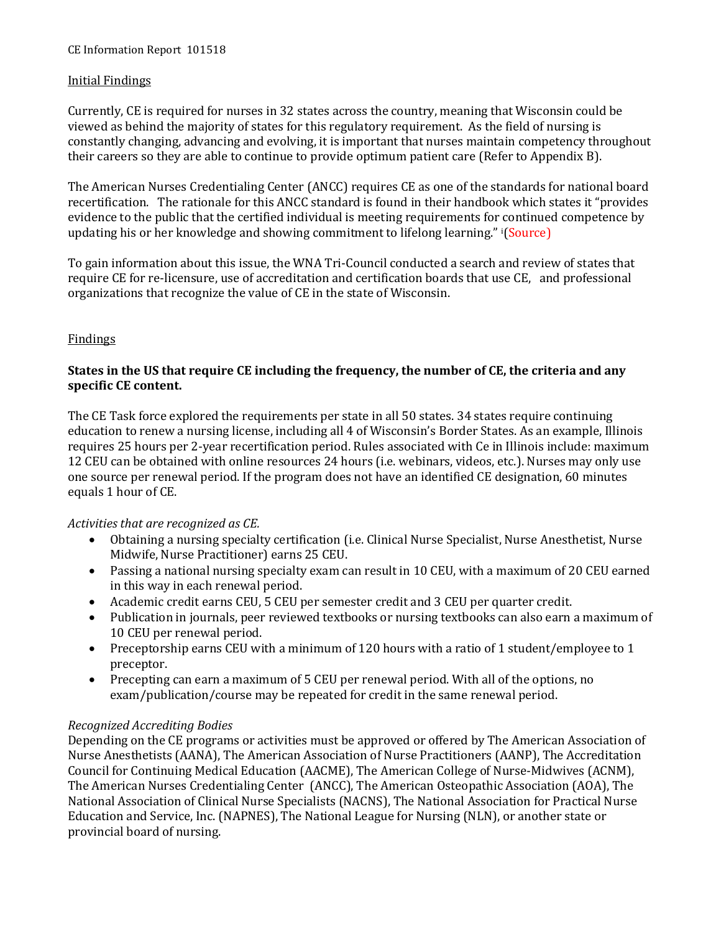## Initial Findings

Currently, CE is required for nurses in 32 states across the country, meaning that Wisconsin could be viewed as behind the majority of states for this regulatory requirement. As the field of nursing is constantly changing, advancing and evolving, it is important that nurses maintain competency throughout their careers so they are able to continue to provide optimum patient care (Refer to Appendix B).

The American Nurses Credentialing Center (ANCC) requires CE as one of the standards for national board recertification. The rationale for this ANCC standard is found in their handbook which states it "provides evidence to the public that the certified individual is meeting requirements for continued competence by updating his or her knowledge and showing commitment to lifelong learning." <sup>i</sup>(Source)

To gain information about this issue, the WNA Tri-Council conducted a search and review of states that require CE for re-licensure, use of accreditation and certification boards that use CE, and professional organizations that recognize the value of CE in the state of Wisconsin.

### Findings

## **States in the US that require CE including the frequency, the number of CE, the criteria and any specific CE content.**

The CE Task force explored the requirements per state in all 50 states. 34 states require continuing education to renew a nursing license, including all 4 of Wisconsin's Border States. As an example, Illinois requires 25 hours per 2-year recertification period. Rules associated with Ce in Illinois include: maximum 12 CEU can be obtained with online resources 24 hours (i.e. webinars, videos, etc.). Nurses may only use one source per renewal period. If the program does not have an identified CE designation, 60 minutes equals 1 hour of CE.

*Activities that are recognized as CE.*

- Obtaining a nursing specialty certification (i.e. Clinical Nurse Specialist, Nurse Anesthetist, Nurse Midwife, Nurse Practitioner) earns 25 CEU.
- Passing a national nursing specialty exam can result in 10 CEU, with a maximum of 20 CEU earned in this way in each renewal period.
- Academic credit earns CEU, 5 CEU per semester credit and 3 CEU per quarter credit.
- Publication in journals, peer reviewed textbooks or nursing textbooks can also earn a maximum of 10 CEU per renewal period.
- Preceptorship earns CEU with a minimum of 120 hours with a ratio of 1 student/employee to 1 preceptor.
- Precepting can earn a maximum of 5 CEU per renewal period. With all of the options, no exam/publication/course may be repeated for credit in the same renewal period.

#### *Recognized Accrediting Bodies*

Depending on the CE programs or activities must be approved or offered by The American Association of Nurse Anesthetists (AANA), The American Association of Nurse Practitioners (AANP), The Accreditation Council for Continuing Medical Education (AACME), The American College of Nurse-Midwives (ACNM), The American Nurses Credentialing Center (ANCC), The American Osteopathic Association (AOA), The National Association of Clinical Nurse Specialists (NACNS), The National Association for Practical Nurse Education and Service, Inc. (NAPNES), The National League for Nursing (NLN), or another state or provincial board of nursing.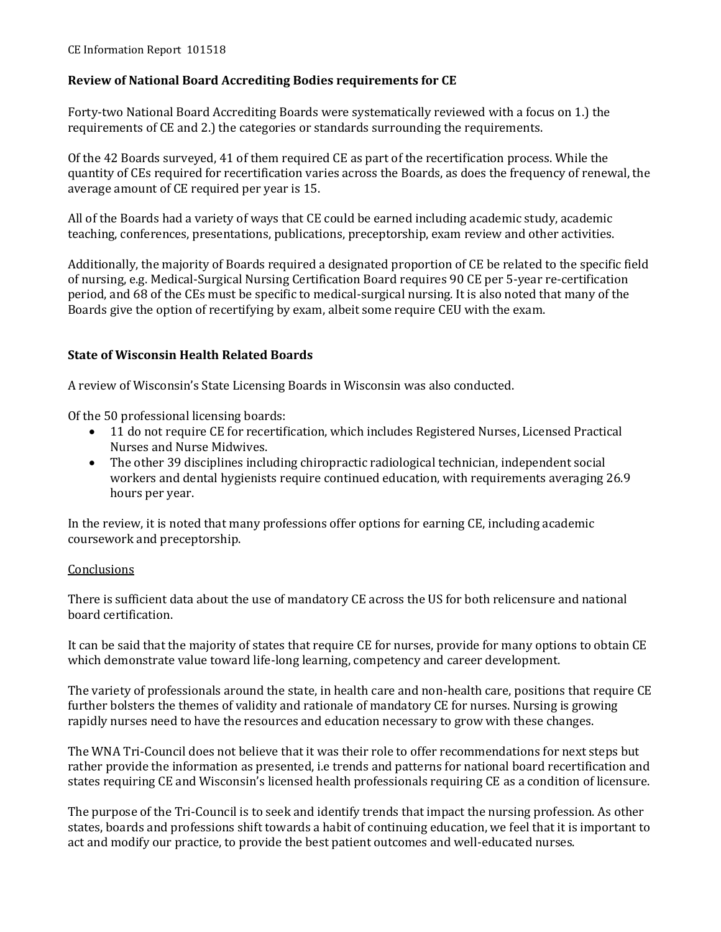# **Review of National Board Accrediting Bodies requirements for CE**

Forty-two National Board Accrediting Boards were systematically reviewed with a focus on 1.) the requirements of CE and 2.) the categories or standards surrounding the requirements.

Of the 42 Boards surveyed, 41 of them required CE as part of the recertification process. While the quantity of CEs required for recertification varies across the Boards, as does the frequency of renewal, the average amount of CE required per year is 15.

All of the Boards had a variety of ways that CE could be earned including academic study, academic teaching, conferences, presentations, publications, preceptorship, exam review and other activities.

Additionally, the majority of Boards required a designated proportion of CE be related to the specific field of nursing, e.g. Medical-Surgical Nursing Certification Board requires 90 CE per 5-year re-certification period, and 68 of the CEs must be specific to medical-surgical nursing. It is also noted that many of the Boards give the option of recertifying by exam, albeit some require CEU with the exam.

## **State of Wisconsin Health Related Boards**

A review of Wisconsin's State Licensing Boards in Wisconsin was also conducted.

Of the 50 professional licensing boards:

- 11 do not require CE for recertification, which includes Registered Nurses, Licensed Practical Nurses and Nurse Midwives.
- The other 39 disciplines including chiropractic radiological technician, independent social workers and dental hygienists require continued education, with requirements averaging 26.9 hours per year.

In the review, it is noted that many professions offer options for earning CE, including academic coursework and preceptorship.

## **Conclusions**

There is sufficient data about the use of mandatory CE across the US for both relicensure and national board certification.

It can be said that the majority of states that require CE for nurses, provide for many options to obtain CE which demonstrate value toward life-long learning, competency and career development.

The variety of professionals around the state, in health care and non-health care, positions that require CE further bolsters the themes of validity and rationale of mandatory CE for nurses. Nursing is growing rapidly nurses need to have the resources and education necessary to grow with these changes.

The WNA Tri-Council does not believe that it was their role to offer recommendations for next steps but rather provide the information as presented, i.e trends and patterns for national board recertification and states requiring CE and Wisconsin's licensed health professionals requiring CE as a condition of licensure.

The purpose of the Tri-Council is to seek and identify trends that impact the nursing profession. As other states, boards and professions shift towards a habit of continuing education, we feel that it is important to act and modify our practice, to provide the best patient outcomes and well-educated nurses.